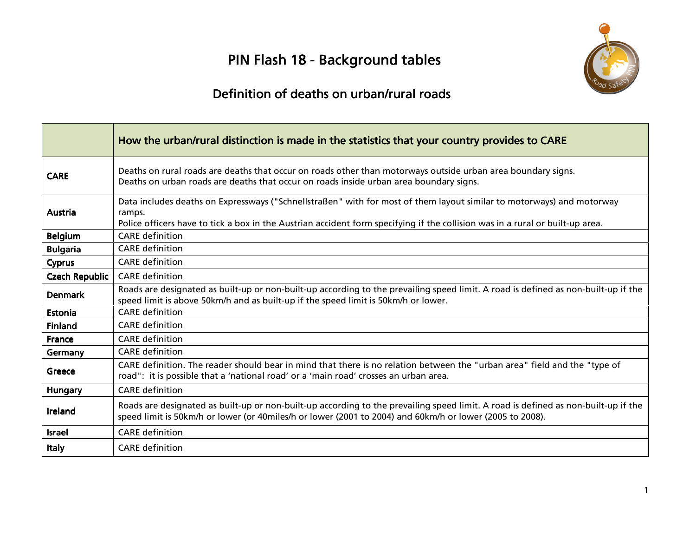# PIN Flash 18 - Background tables



# Definition of deaths on urban/rural roads

|                 | How the urban/rural distinction is made in the statistics that your country provides to CARE                                                                                                                                                                     |
|-----------------|------------------------------------------------------------------------------------------------------------------------------------------------------------------------------------------------------------------------------------------------------------------|
| <b>CARE</b>     | Deaths on rural roads are deaths that occur on roads other than motorways outside urban area boundary signs.<br>Deaths on urban roads are deaths that occur on roads inside urban area boundary signs.                                                           |
| Austria         | Data includes deaths on Expressways ("Schnellstraßen" with for most of them layout similar to motorways) and motorway<br>ramps.<br>Police officers have to tick a box in the Austrian accident form specifying if the collision was in a rural or built-up area. |
| <b>Belgium</b>  | <b>CARE</b> definition                                                                                                                                                                                                                                           |
| <b>Bulgaria</b> | <b>CARE</b> definition                                                                                                                                                                                                                                           |
| <b>Cyprus</b>   | <b>CARE</b> definition                                                                                                                                                                                                                                           |
| Czech Republic  | <b>CARE</b> definition                                                                                                                                                                                                                                           |
| <b>Denmark</b>  | Roads are designated as built-up or non-built-up according to the prevailing speed limit. A road is defined as non-built-up if the<br>speed limit is above 50km/h and as built-up if the speed limit is 50km/h or lower.                                         |
| Estonia         | <b>CARE</b> definition                                                                                                                                                                                                                                           |
| <b>Finland</b>  | <b>CARE</b> definition                                                                                                                                                                                                                                           |
| France          | <b>CARE</b> definition                                                                                                                                                                                                                                           |
| Germany         | <b>CARE</b> definition                                                                                                                                                                                                                                           |
| Greece          | CARE definition. The reader should bear in mind that there is no relation between the "urban area" field and the "type of<br>road": it is possible that a 'national road' or a 'main road' crosses an urban area.                                                |
| Hungary         | <b>CARE</b> definition                                                                                                                                                                                                                                           |
| Ireland         | Roads are designated as built-up or non-built-up according to the prevailing speed limit. A road is defined as non-built-up if the<br>speed limit is 50km/h or lower (or 40miles/h or lower (2001 to 2004) and 60km/h or lower (2005 to 2008).                   |
| Israel          | <b>CARE</b> definition                                                                                                                                                                                                                                           |
| <b>Italy</b>    | <b>CARE</b> definition                                                                                                                                                                                                                                           |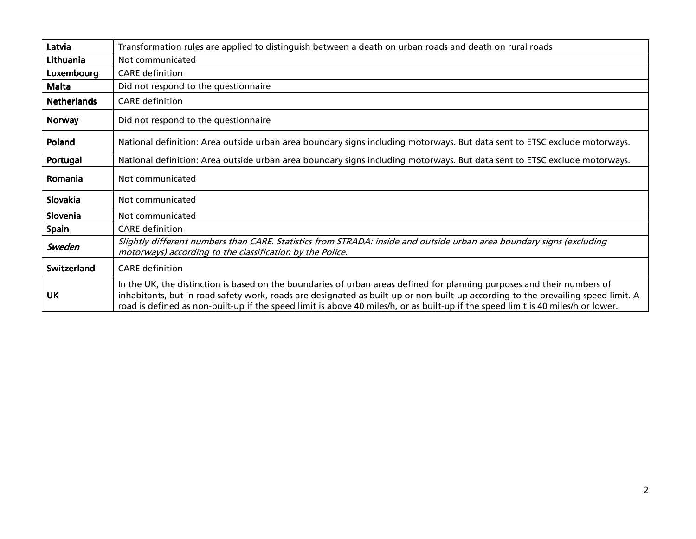| Latvia             | Transformation rules are applied to distinguish between a death on urban roads and death on rural roads                                                                                                                                                                                                                                                                                           |
|--------------------|---------------------------------------------------------------------------------------------------------------------------------------------------------------------------------------------------------------------------------------------------------------------------------------------------------------------------------------------------------------------------------------------------|
| Lithuania          | Not communicated                                                                                                                                                                                                                                                                                                                                                                                  |
| Luxembourg         | <b>CARE</b> definition                                                                                                                                                                                                                                                                                                                                                                            |
| <b>Malta</b>       | Did not respond to the questionnaire                                                                                                                                                                                                                                                                                                                                                              |
| <b>Netherlands</b> | <b>CARE</b> definition                                                                                                                                                                                                                                                                                                                                                                            |
| <b>Norway</b>      | Did not respond to the questionnaire                                                                                                                                                                                                                                                                                                                                                              |
| Poland             | National definition: Area outside urban area boundary signs including motorways. But data sent to ETSC exclude motorways.                                                                                                                                                                                                                                                                         |
| Portugal           | National definition: Area outside urban area boundary signs including motorways. But data sent to ETSC exclude motorways.                                                                                                                                                                                                                                                                         |
| Romania            | Not communicated                                                                                                                                                                                                                                                                                                                                                                                  |
| Slovakia           | Not communicated                                                                                                                                                                                                                                                                                                                                                                                  |
| Slovenia           | Not communicated                                                                                                                                                                                                                                                                                                                                                                                  |
| <b>Spain</b>       | <b>CARE</b> definition                                                                                                                                                                                                                                                                                                                                                                            |
| Sweden             | Slightly different numbers than CARE. Statistics from STRADA: inside and outside urban area boundary signs (excluding<br>motorways) according to the classification by the Police.                                                                                                                                                                                                                |
| Switzerland        | <b>CARE</b> definition                                                                                                                                                                                                                                                                                                                                                                            |
| <b>UK</b>          | In the UK, the distinction is based on the boundaries of urban areas defined for planning purposes and their numbers of<br>inhabitants, but in road safety work, roads are designated as built-up or non-built-up according to the prevailing speed limit. A<br>road is defined as non-built-up if the speed limit is above 40 miles/h, or as built-up if the speed limit is 40 miles/h or lower. |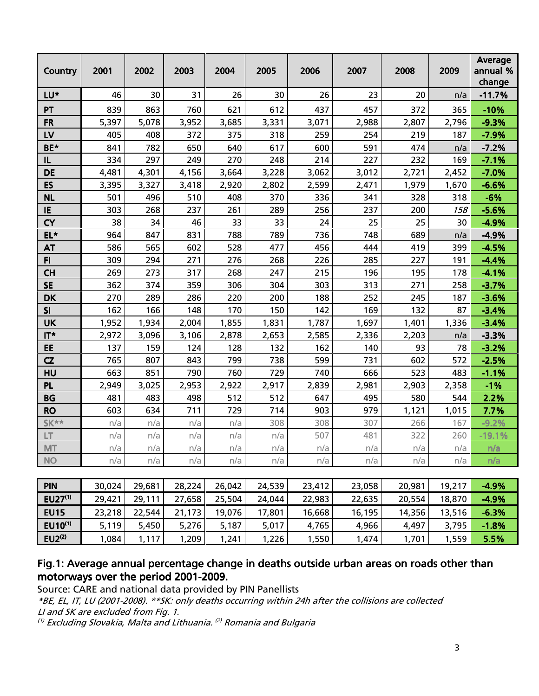| Country     | 2001   | 2002   | 2003  | 2004   | 2005  | 2006   | 2007   | 2008   | 2009   | Average<br>annual %<br>change |
|-------------|--------|--------|-------|--------|-------|--------|--------|--------|--------|-------------------------------|
| LU*         | 46     | 30     | 31    | 26     | 30    | 26     | 23     | 20     | n/a    | $-11.7%$                      |
| PT          | 839    | 863    | 760   | 621    | 612   | 437    | 457    | 372    | 365    | $-10%$                        |
| <b>FR</b>   | 5,397  | 5,078  | 3,952 | 3,685  | 3,331 | 3,071  | 2,988  | 2,807  | 2,796  | $-9.3%$                       |
| LV          | 405    | 408    | 372   | 375    | 318   | 259    | 254    | 219    | 187    | $-7.9%$                       |
| BE*         | 841    | 782    | 650   | 640    | 617   | 600    | 591    | 474    | n/a    | $-7.2%$                       |
| IL          | 334    | 297    | 249   | 270    | 248   | 214    | 227    | 232    | 169    | $-7.1%$                       |
| <b>DE</b>   | 4,481  | 4,301  | 4,156 | 3,664  | 3,228 | 3,062  | 3,012  | 2,721  | 2,452  | $-7.0%$                       |
| ES          | 3,395  | 3,327  | 3,418 | 2,920  | 2,802 | 2,599  | 2,471  | 1,979  | 1,670  | $-6.6%$                       |
| <b>NL</b>   | 501    | 496    | 510   | 408    | 370   | 336    | 341    | 328    | 318    | $-6%$                         |
| IE          | 303    | 268    | 237   | 261    | 289   | 256    | 237    | 200    | 158    | $-5.6%$                       |
| <b>CY</b>   | 38     | 34     | 46    | 33     | 33    | 24     | 25     | 25     | 30     | $-4.9%$                       |
| EL*         | 964    | 847    | 831   | 788    | 789   | 736    | 748    | 689    | n/a    | $-4.9%$                       |
| <b>AT</b>   | 586    | 565    | 602   | 528    | 477   | 456    | 444    | 419    | 399    | $-4.5%$                       |
| F1          | 309    | 294    | 271   | 276    | 268   | 226    | 285    | 227    | 191    | $-4.4%$                       |
| <b>CH</b>   | 269    | 273    | 317   | 268    | 247   | 215    | 196    | 195    | 178    | $-4.1%$                       |
| <b>SE</b>   | 362    | 374    | 359   | 306    | 304   | 303    | 313    | 271    | 258    | $-3.7%$                       |
| <b>DK</b>   | 270    | 289    | 286   | 220    | 200   | 188    | 252    | 245    | 187    | $-3.6%$                       |
| SI          | 162    | 166    | 148   | 170    | 150   | 142    | 169    | 132    | 87     | $-3.4%$                       |
| <b>UK</b>   | 1,952  | 1,934  | 2,004 | 1,855  | 1,831 | 1,787  | 1,697  | 1,401  | 1,336  | $-3.4%$                       |
| $IT*$       | 2,972  | 3,096  | 3,106 | 2,878  | 2,653 | 2,585  | 2,336  | 2,203  | n/a    | $-3.3%$                       |
| EE          | 137    | 159    | 124   | 128    | 132   | 162    | 140    | 93     | 78     | $-3.2%$                       |
| CZ          | 765    | 807    | 843   | 799    | 738   | 599    | 731    | 602    | 572    | $-2.5%$                       |
| HU          | 663    | 851    | 790   | 760    | 729   | 740    | 666    | 523    | 483    | $-1.1%$                       |
| <b>PL</b>   | 2,949  | 3,025  | 2,953 | 2,922  | 2,917 | 2,839  | 2,981  | 2,903  | 2,358  | $-1%$                         |
| <b>BG</b>   | 481    | 483    | 498   | 512    | 512   | 647    | 495    | 580    | 544    | 2.2%                          |
| <b>RO</b>   | 603    | 634    | 711   | 729    | 714   | 903    | 979    | 1,121  | 1,015  | 7.7%                          |
| <b>SK**</b> | n/a    | n/a    | n/a   | n/a    | 308   | 308    | 307    | 266    | 167    | $-9.2%$                       |
| LT.         | n/a    | n/a    | n/a   | n/a    | n/a   | 507    | 481    | 322    | 260    | $-19.1%$                      |
| <b>MT</b>   | n/a    | n/a    | n/a   | n/a    | n/a   | n/a    | n/a    | n/a    | n/a    | n/a                           |
| <b>NO</b>   | n/a    | n/a    | n/a   | n/a    | n/a   | n/a    | n/a    | n/a    | n/a    | n/a                           |
| <b>PIN</b>  | 30.024 | 29.681 | 28224 | 26.042 | 24539 | 23 412 | 23.058 | 20.981 | 19 217 | $-4.9%$                       |

| <b>PIN</b>          | 30.024 | 29.681 | 28,224 | 26.042 | 24,539 | 23,412 | 23,058 | 20,981 | 19,217 | $-4.9%$ |
|---------------------|--------|--------|--------|--------|--------|--------|--------|--------|--------|---------|
| $EU27^{(1)}$        | 29,421 | 29.111 | 27,658 | 25,504 | 24,044 | 22.983 | 22,635 | 20,554 | 18,870 | $-4.9%$ |
| <b>EU15</b>         | 23,218 | 22.544 | 21,173 | 19,076 | 17,801 | 16,668 | 16,195 | 14,356 | 13,516 | $-6.3%$ |
| EU10 <sup>(1)</sup> | 5,119  | 5,450  | 5,276  | 5,187  | 5,017  | 4,765  | 4,966  | 4,497  | 3,795  | $-1.8%$ |
| EU2 <sup>(2)</sup>  | .084   | 1,117  | ,209   | ,241   | 1,226  | 1,550  | 1,474  | 1.701  | 1,559  | 5.5%    |

### Fig.1: Average annual percentage change in deaths outside urban areas on roads other than motorways over the period 2001-2009.

Source: CARE and national data provided by PIN Panellists

\*BE, EL, IT, LU (2001-2008). \*\*SK: only deaths occurring within 24h after the collisions are collected

LI and SK are excluded from Fig. 1.

<sup>(1)</sup> Excluding Slovakia, Malta and Lithuania. <sup>(2)</sup> Romania and Bulgaria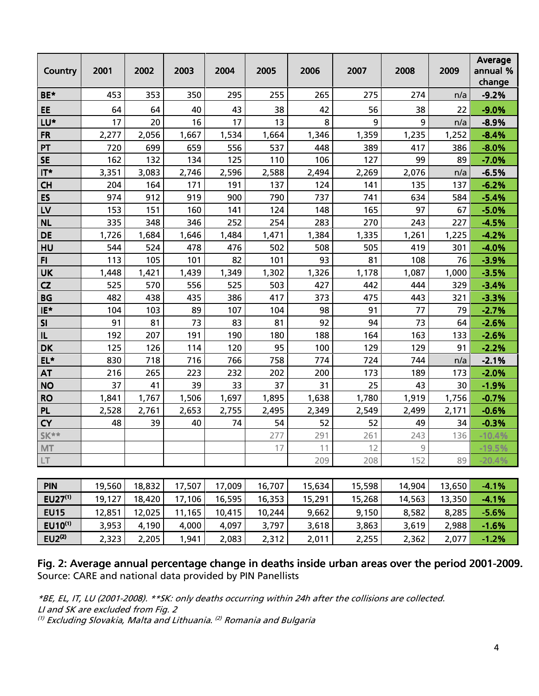| <b>Country</b> | 2001  | 2002  | 2003  | 2004  | 2005  | 2006  | 2007  | 2008  | 2009  | Average<br>annual %<br>change |
|----------------|-------|-------|-------|-------|-------|-------|-------|-------|-------|-------------------------------|
| BE*            | 453   | 353   | 350   | 295   | 255   | 265   | 275   | 274   | n/a   | $-9.2%$                       |
| EE             | 64    | 64    | 40    | 43    | 38    | 42    | 56    | 38    | 22    | $-9.0%$                       |
| LU*            | 17    | 20    | 16    | 17    | 13    | 8     | 9     | 9     | n/a   | $-8.9%$                       |
| <b>FR</b>      | 2,277 | 2,056 | 1,667 | 1,534 | 1,664 | 1,346 | 1,359 | 1,235 | 1,252 | $-8.4%$                       |
| PT             | 720   | 699   | 659   | 556   | 537   | 448   | 389   | 417   | 386   | $-8.0%$                       |
| <b>SE</b>      | 162   | 132   | 134   | 125   | 110   | 106   | 127   | 99    | 89    | $-7.0%$                       |
| IT*            | 3,351 | 3,083 | 2,746 | 2,596 | 2,588 | 2,494 | 2,269 | 2,076 | n/a   | $-6.5%$                       |
| <b>CH</b>      | 204   | 164   | 171   | 191   | 137   | 124   | 141   | 135   | 137   | $-6.2%$                       |
| ES             | 974   | 912   | 919   | 900   | 790   | 737   | 741   | 634   | 584   | $-5.4%$                       |
| LV             | 153   | 151   | 160   | 141   | 124   | 148   | 165   | 97    | 67    | $-5.0%$                       |
| <b>NL</b>      | 335   | 348   | 346   | 252   | 254   | 283   | 270   | 243   | 227   | $-4.5%$                       |
| <b>DE</b>      | 1,726 | 1,684 | 1,646 | 1,484 | 1,471 | 1,384 | 1,335 | 1,261 | 1,225 | $-4.2%$                       |
| HU             | 544   | 524   | 478   | 476   | 502   | 508   | 505   | 419   | 301   | $-4.0%$                       |
| F1             | 113   | 105   | 101   | 82    | 101   | 93    | 81    | 108   | 76    | $-3.9%$                       |
| <b>UK</b>      | 1,448 | 1,421 | 1,439 | 1,349 | 1,302 | 1,326 | 1,178 | 1,087 | 1,000 | $-3.5%$                       |
| CZ             | 525   | 570   | 556   | 525   | 503   | 427   | 442   | 444   | 329   | $-3.4%$                       |
| <b>BG</b>      | 482   | 438   | 435   | 386   | 417   | 373   | 475   | 443   | 321   | $-3.3%$                       |
| IE*            | 104   | 103   | 89    | 107   | 104   | 98    | 91    | 77    | 79    | $-2.7%$                       |
| SI             | 91    | 81    | 73    | 83    | 81    | 92    | 94    | 73    | 64    | $-2.6%$                       |
| IL             | 192   | 207   | 191   | 190   | 180   | 188   | 164   | 163   | 133   | $-2.6%$                       |
| <b>DK</b>      | 125   | 126   | 114   | 120   | 95    | 100   | 129   | 129   | 91    | $-2.2%$                       |
| EL*            | 830   | 718   | 716   | 766   | 758   | 774   | 724   | 744   | n/a   | $-2.1%$                       |
| <b>AT</b>      | 216   | 265   | 223   | 232   | 202   | 200   | 173   | 189   | 173   | $-2.0%$                       |
| <b>NO</b>      | 37    | 41    | 39    | 33    | 37    | 31    | 25    | 43    | 30    | $-1.9%$                       |
| <b>RO</b>      | 1,841 | 1,767 | 1,506 | 1,697 | 1,895 | 1,638 | 1,780 | 1,919 | 1,756 | $-0.7%$                       |
| <b>PL</b>      | 2,528 | 2,761 | 2,653 | 2,755 | 2,495 | 2,349 | 2,549 | 2,499 | 2,171 | $-0.6%$                       |
| <b>CY</b>      | 48    | 39    | 40    | 74    | 54    | 52    | 52    | 49    | 34    | $-0.3%$                       |
| $SK**$         |       |       |       |       | 277   | 291   | 261   | 243   | 136   | $-10.4%$                      |
| <b>MT</b>      |       |       |       |       | 17    | 11    | 12    | 9     |       | $-19.5%$                      |
| LT             |       |       |       |       |       | 209   | 208   | 152   | 89    | $-20.4%$                      |
|                |       |       |       |       |       |       |       |       |       |                               |

| <b>PIN</b>         | 19,560 | 18,832 | 17.507 | 17,009 | 16,707 | 15,634 | 15,598 | 14,904 | 13,650 | $-4.1%$ |
|--------------------|--------|--------|--------|--------|--------|--------|--------|--------|--------|---------|
| $EU27^{(1)}$       | 19,127 | 18,420 | 17.106 | 16,595 | 16,353 | 15,291 | 15,268 | 14,563 | 13,350 | $-4.1%$ |
| <b>EU15</b>        | 12.851 | 12.025 | .165   | 10,415 | 10,244 | 9,662  | 9,150  | 8,582  | 8,285  | $-5.6%$ |
| $EU10^{(1)}$       | 3,953  | 4,190  | 4,000  | 4,097  | 3,797  | 3,618  | 3,863  | 3,619  | 2,988  | $-1.6%$ |
| EU2 <sup>(2)</sup> | 2,323  | 2,205  | ,941   | 2,083  | 2,312  | 2,011  | 2,255  | 2,362  | 2,077  | $-1.2%$ |

Fig. 2: Average annual percentage change in deaths inside urban areas over the period 2001-2009. Source: CARE and national data provided by PIN Panellists

\*BE, EL, IT, LU (2001-2008). \*\*SK: only deaths occurring within 24h after the collisions are collected. LI and SK are excluded from Fig. 2  $^{\text{\tiny{(1)}}}$  Excluding Slovakia, Malta and Lithuania.  $^{\text{\tiny{(2)}}}$  Romania and Bulgaria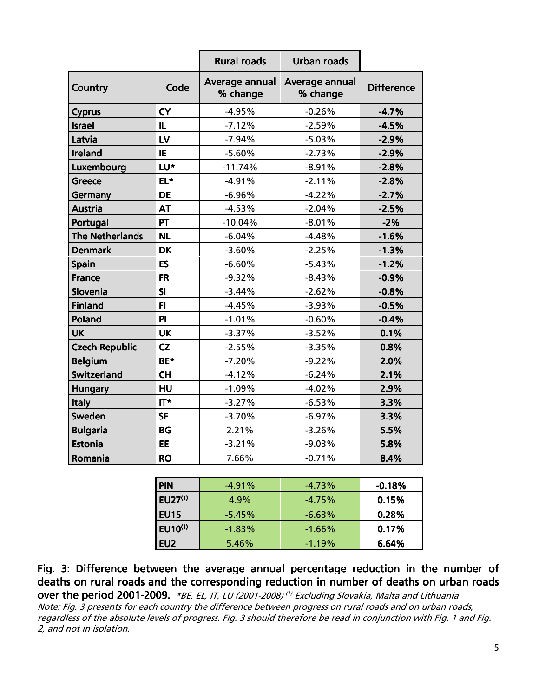|                        |           | <b>Rural roads</b>         | <b>Urban roads</b>         |                   |
|------------------------|-----------|----------------------------|----------------------------|-------------------|
| <b>Country</b>         | Code      | Average annual<br>% change | Average annual<br>% change | <b>Difference</b> |
| <b>Cyprus</b>          | <b>CY</b> | $-4.95%$                   | $-0.26%$                   | $-4.7%$           |
| <b>Israel</b>          | IL        | $-7.12%$                   | $-2.59%$                   | $-4.5%$           |
| Latvia                 | LV        | $-7.94%$                   | $-5.03%$                   | $-2.9%$           |
| Ireland                | IE        | $-5.60%$                   | $-2.73%$                   | $-2.9%$           |
| Luxembourg             | LU*       | $-11.74%$                  | $-8.91%$                   | $-2.8%$           |
| <b>Greece</b>          | EL*       | $-4.91%$                   | $-2.11%$                   | $-2.8%$           |
| Germany                | <b>DE</b> | $-6.96%$                   | $-4.22%$                   | $-2.7%$           |
| <b>Austria</b>         | <b>AT</b> | $-4.53%$                   | $-2.04%$                   | $-2.5%$           |
| Portugal               | PT        | $-10.04%$                  | $-8.01%$                   | $-2%$             |
| <b>The Netherlands</b> | <b>NL</b> | $-6.04%$                   | $-4.48%$                   | $-1.6%$           |
| <b>Denmark</b>         | <b>DK</b> | $-3.60%$                   | $-2.25%$                   | $-1.3%$           |
| <b>Spain</b>           | ES        | $-6.60%$                   | $-5.43%$                   | $-1.2%$           |
| <b>France</b>          | <b>FR</b> | $-9.32%$                   | $-8.43%$                   | $-0.9%$           |
| Slovenia               | SI        | $-3.44%$                   | $-2.62%$                   | $-0.8%$           |
| <b>Finland</b>         | F1        | $-4.45%$                   | $-3.93%$                   | $-0.5%$           |
| Poland                 | PL        | $-1.01%$                   | $-0.60%$                   | $-0.4%$           |
| <b>UK</b>              | <b>UK</b> | $-3.37%$                   | $-3.52%$                   | 0.1%              |
| <b>Czech Republic</b>  | CZ        | $-2.55%$                   | $-3.35%$                   | 0.8%              |
| <b>Belgium</b>         | BE*       | $-7.20%$                   | $-9.22%$                   | 2.0%              |
| <b>Switzerland</b>     | <b>CH</b> | $-4.12%$                   | $-6.24%$                   | 2.1%              |
| <b>Hungary</b>         | HU        | $-1.09%$                   | $-4.02%$                   | 2.9%              |
| <b>Italy</b>           | $IT^*$    | $-3.27%$                   | $-6.53%$                   | 3.3%              |
| <b>Sweden</b>          | <b>SE</b> | $-3.70%$                   | $-6.97%$                   | 3.3%              |
| <b>Bulgaria</b>        | <b>BG</b> | 2.21%                      | $-3.26%$                   | 5.5%              |
| Estonia                | EE        | $-3.21%$                   | $-9.03%$                   | 5.8%              |
| Romania                | <b>RO</b> | 7.66%                      | $-0.71%$                   | 8.4%              |

| <b>PIN</b>      | $-4.91\%$ | $-4.73\%$ | $-0.18%$ |
|-----------------|-----------|-----------|----------|
| $EU27^{(1)}$    | 4.9%      | $-4.75%$  | 0.15%    |
| <b>EU15</b>     | $-5.45\%$ | $-6.63%$  | 0.28%    |
| <b>EU10(1)</b>  | $-1.83\%$ | $-1.66\%$ | 0.17%    |
| EU <sub>2</sub> | $5.46\%$  | $-1.19\%$ | 6.64%    |

Fig. 3: Difference between the average annual percentage reduction in the number of deaths on rural roads and the corresponding reduction in number of deaths on urban roads **over the period 2001-2009.** \*BE, EL, IT, LU (2001-2008)<sup>(1)</sup> Excluding Slovakia, Malta and Lithuania

Note: Fig. 3 presents for each country the difference between progress on rural roads and on urban roads, regardless of the absolute levels of progress. Fig. 3 should therefore be read in conjunction with Fig. 1 and Fig. 2, and not in isolation.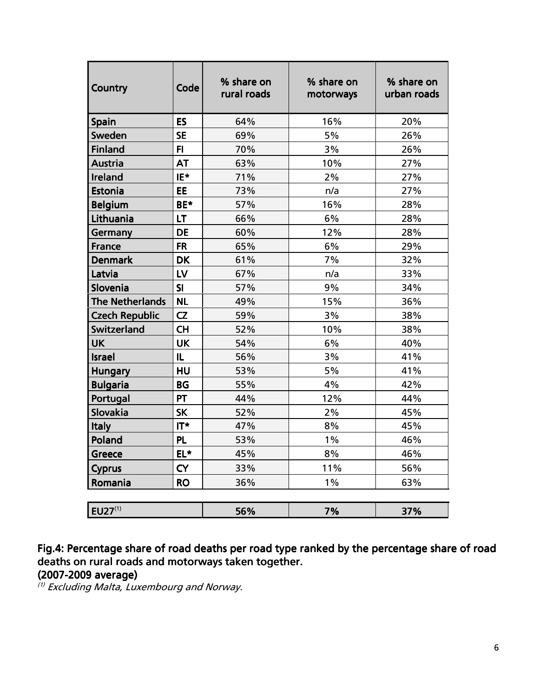| <b>Country</b>         | Code      | % share on<br>rural roads | % share on<br>motorways | % share on<br>urban roads |
|------------------------|-----------|---------------------------|-------------------------|---------------------------|
| <b>Spain</b>           | ES        | 64%                       | 16%                     | 20%                       |
| Sweden                 | <b>SE</b> | 69%                       | 5%                      | 26%                       |
| <b>Finland</b>         | FI.       | 70%                       | 3%                      | 26%                       |
| <b>Austria</b>         | <b>AT</b> | 63%                       | 10%                     | 27%                       |
| Ireland                | IE*       | 71%                       | 2%                      | 27%                       |
| Estonia                | <b>EE</b> | 73%                       | n/a                     | 27%                       |
| <b>Belgium</b>         | BE*       | 57%                       | 16%                     | 28%                       |
| Lithuania              | LT        | 66%                       | 6%                      | 28%                       |
| Germany                | <b>DE</b> | 60%                       | 12%                     | 28%                       |
| <b>France</b>          | <b>FR</b> | 65%                       | 6%                      | 29%                       |
| <b>Denmark</b>         | <b>DK</b> | 61%                       | 7%                      | 32%                       |
| Latvia                 | LV        | 67%                       | n/a                     | 33%                       |
| Slovenia               | SI        | 57%                       | 9%                      | 34%                       |
| <b>The Netherlands</b> | <b>NL</b> | 49%                       | 15%                     | 36%                       |
| <b>Czech Republic</b>  | CZ        | 59%                       | 3%                      | 38%                       |
| Switzerland            | <b>CH</b> | 52%                       | 10%                     | 38%                       |
| <b>UK</b>              | <b>UK</b> | 54%                       | 6%                      | 40%                       |
| <b>Israel</b>          | IL        | 56%                       | 3%                      | 41%                       |
| <b>Hungary</b>         | HU        | 53%                       | 5%                      | 41%                       |
| <b>Bulgaria</b>        | <b>BG</b> | 55%                       | 4%                      | 42%                       |
| Portugal               | <b>PT</b> | 44%                       | 12%                     | 44%                       |
| Slovakia               | <b>SK</b> | 52%                       | 2%                      | 45%                       |
| <b>Italy</b>           | IT*       | 47%                       | 8%                      | 45%                       |
| Poland                 | <b>PL</b> | 53%                       | $1\%$                   | 46%                       |
| Greece                 | EL*       | 45%                       | 8%                      | 46%                       |
| <b>Cyprus</b>          | <b>CY</b> | 33%                       | 11%                     | 56%                       |
| Romania                | <b>RO</b> | 36%                       | $1\%$                   | 63%                       |
| $EU27^{(1)}$           |           | 56%                       | 7%                      | 37%                       |

Fig.4: Percentage share of road deaths per road type ranked by the percentage share of road deaths on rural roads and motorways taken together. (2007-2009 average) 2009 average) average)

(1) Excluding Malta, Luxembourg and Norway.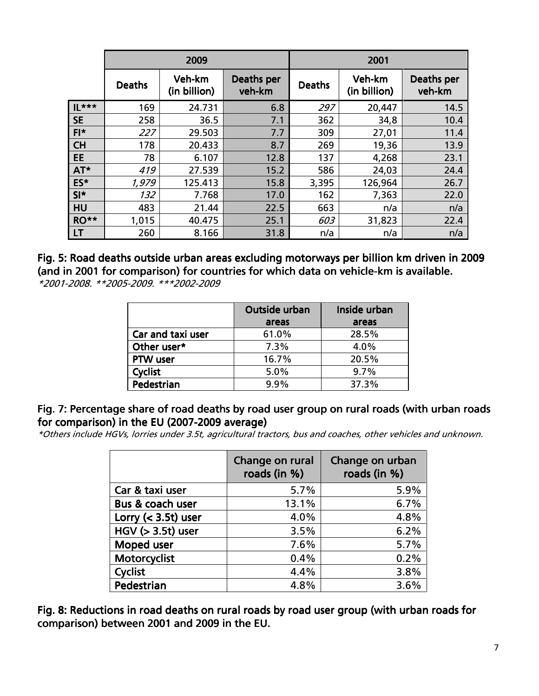|                  |               | 2009                   |                      | 2001          |                        |                      |  |
|------------------|---------------|------------------------|----------------------|---------------|------------------------|----------------------|--|
|                  | <b>Deaths</b> | Veh-km<br>(in billion) | Deaths per<br>veh-km | <b>Deaths</b> | Veh-km<br>(in billion) | Deaths per<br>veh-km |  |
| $\mathbb{L}$ *** | 169           | 24.731                 | 6.8                  | 297           | 20,447                 | 14.5                 |  |
| <b>SE</b>        | 258           | 36.5                   | 7.1                  | 362           | 34,8                   | 10.4                 |  |
| $FI*$            | 227           | 29.503                 | 7.7                  | 309           | 27,01                  | 11.4                 |  |
| <b>CH</b>        | 178           | 20.433                 | 8.7                  | 269           | 19,36                  | 13.9                 |  |
| <b>EE</b>        | 78            | 6.107                  | 12.8                 | 137           | 4,268                  | 23.1                 |  |
| AT*              | 419           | 27.539                 | 15.2                 | 586           | 24,03                  | 24.4                 |  |
| ES*              | 1,979         | 125.413                | 15.8                 | 3,395         | 126,964                | 26.7                 |  |
| $SI*$            | 132           | 7.768                  | 17.0                 | 162           | 7,363                  | 22.0                 |  |
| <b>HU</b>        | 483           | 21.44                  | 22.5                 | 663           | n/a                    | n/a                  |  |
| RO**             | 1,015         | 40.475                 | 25.1                 | 603           | 31,823                 | 22.4                 |  |
| LT               | 260           | 8.166                  | 31.8                 | n/a           | n/a                    | n/a                  |  |

Fig. 5: Road deaths outside urban areas excluding motorways per billion km driven in 2009 (and in 2001 for comparison) for countries for which data on vehicle-km is available. \*2001-2008. \*\*2005-2009. \*\*\*2002-2009

|                   | Outside urban | Inside urban |
|-------------------|---------------|--------------|
|                   | areas         | areas        |
| Car and taxi user | 61.0%         | 28.5%        |
| Other user*       | 7.3%          | 4.0%         |
| <b>PTW</b> user   | 16.7%         | 20.5%        |
| <b>Cyclist</b>    | 5.0%          | 9.7%         |
| Pedestrian        | $9.9\%$       | 37.3%        |

#### Fig. 7: Percentage share of road deaths by road user group on rural roads (with urban roads for comparison) in the EU (2007-2009 average)

\*Others include HGVs, lorries under 3.5t, agricultural tractors, bus and coaches, other vehicles and unknown.

|                     | Change on rural<br>roads (in %) | Change on urban<br>roads (in %) |
|---------------------|---------------------------------|---------------------------------|
| Car & taxi user     | 5.7%                            | 5.9%                            |
| Bus & coach user    | 13.1%                           | 6.7%                            |
| Lorry $(3.5t) user$ | 4.0%                            | 4.8%                            |
| $HGV (> 3.5t)$ user | 3.5%                            | 6.2%                            |
| Moped user          | 7.6%                            | 5.7%                            |
| Motorcyclist        | 0.4%                            | 0.2%                            |
| Cyclist             | 4.4%                            | 3.8%                            |
| Pedestrian          | 4.8%                            | 3.6%                            |

Fig. 8: Reductions in road deaths on rural roads by road user group (with urban roads for comparison) between 2001 and 2009 in the EU.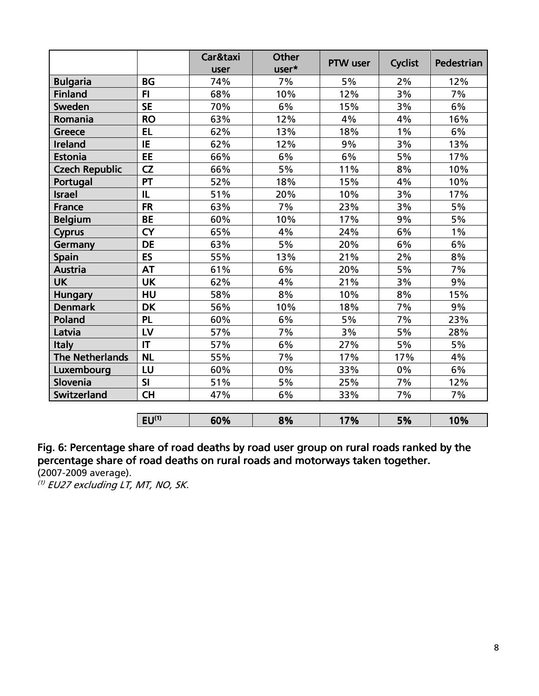|                        |            | Car&taxi | <b>Other</b> | PTW user | <b>Cyclist</b> | Pedestrian |  |
|------------------------|------------|----------|--------------|----------|----------------|------------|--|
|                        |            | user     | user*        |          |                |            |  |
| <b>Bulgaria</b>        | <b>BG</b>  | 74%      | 7%           | 5%       | 2%             | 12%        |  |
| <b>Finland</b>         | F1         | 68%      | 10%          | 12%      | 3%             | 7%         |  |
| Sweden                 | <b>SE</b>  | 70%      | 6%           | 15%      | 3%             | 6%         |  |
| Romania                | <b>RO</b>  | 63%      | 12%          | 4%       | 4%             | 16%        |  |
| <b>Greece</b>          | <b>EL</b>  | 62%      | 13%          | 18%      | $1\%$          | 6%         |  |
| Ireland                | IE         | 62%      | 12%          | 9%       | 3%             | 13%        |  |
| <b>Estonia</b>         | EE         | 66%      | 6%           | 6%       | 5%             | 17%        |  |
| <b>Czech Republic</b>  | CZ         | 66%      | 5%           | 11%      | 8%             | 10%        |  |
| Portugal               | PT         | 52%      | 18%          | 15%      | 4%             | 10%        |  |
| <b>Israel</b>          | IL         | 51%      | 20%          | 10%      | 3%             | 17%        |  |
| <b>France</b>          | <b>FR</b>  | 63%      | 7%           | 23%      | 3%             | 5%         |  |
| <b>Belgium</b>         | <b>BE</b>  | 60%      | 10%          | 17%      | 9%             | 5%         |  |
| <b>Cyprus</b>          | <b>CY</b>  | 65%      | 4%           | 24%      | 6%             | $1\%$      |  |
| Germany                | <b>DE</b>  | 63%      | 5%           | 20%      | 6%             | 6%         |  |
| <b>Spain</b>           | ES         | 55%      | 13%          | 21%      | 2%             | 8%         |  |
| <b>Austria</b>         | <b>AT</b>  | 61%      | 6%           | 20%      | 5%             | 7%         |  |
| <b>UK</b>              | <b>UK</b>  | 62%      | 4%           | 21%      | 3%             | 9%         |  |
| <b>Hungary</b>         | HU         | 58%      | 8%           | 10%      | 8%             | 15%        |  |
| <b>Denmark</b>         | <b>DK</b>  | 56%      | 10%          | 18%      | 7%             | 9%         |  |
| Poland                 | <b>PL</b>  | 60%      | 6%           | 5%       | 7%             | 23%        |  |
| Latvia                 | LV         | 57%      | 7%           | 3%       | 5%             | 28%        |  |
| <b>Italy</b>           | IT         | 57%      | 6%           | 27%      | 5%             | 5%         |  |
| <b>The Netherlands</b> | <b>NL</b>  | 55%      | 7%           | 17%      | 17%            | 4%         |  |
| Luxembourg             | LU         | 60%      | $0\%$        | 33%      | 0%             | 6%         |  |
| Slovenia               | SI         | 51%      | 5%           | 25%      | 7%             | 12%        |  |
| Switzerland            | <b>CH</b>  | 47%      | 6%           | 33%      | 7%             | 7%         |  |
|                        |            |          |              |          |                |            |  |
|                        | $EU^{(1)}$ | 60%      | 8%           | 17%      | 5%             | 10%        |  |

Fig. 6: Percentage share of road deaths by road user group on rural roads ranked by the percentage share of road deaths on rural roads and motorways taken together. (2007-2009 average).

(1) EU27 excluding LT, MT, NO, SK.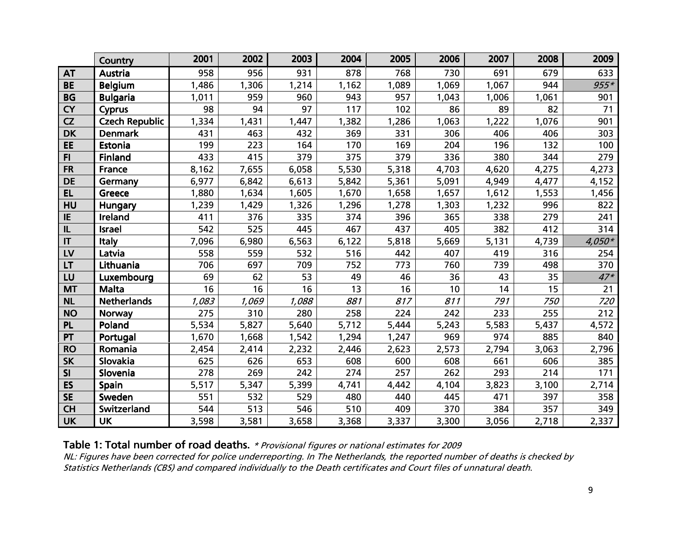|                        | Country               | 2001  | 2002  | 2003  | 2004  | 2005  | 2006  | 2007  | 2008  | 2009     |
|------------------------|-----------------------|-------|-------|-------|-------|-------|-------|-------|-------|----------|
| <b>AT</b>              | Austria               | 958   | 956   | 931   | 878   | 768   | 730   | 691   | 679   | 633      |
| <b>BE</b>              | <b>Belgium</b>        | 1,486 | 1,306 | 1,214 | 1,162 | 1,089 | 1,069 | 1,067 | 944   | $955*$   |
| <b>BG</b>              | <b>Bulgaria</b>       | 1,011 | 959   | 960   | 943   | 957   | 1,043 | 1,006 | 1,061 | 901      |
| <b>CY</b>              | Cyprus                | 98    | 94    | 97    | 117   | 102   | 86    | 89    | 82    | 71       |
| CZ                     | <b>Czech Republic</b> | 1,334 | 1,431 | 1,447 | 1,382 | 1,286 | 1,063 | 1,222 | 1,076 | 901      |
| <b>DK</b>              | <b>Denmark</b>        | 431   | 463   | 432   | 369   | 331   | 306   | 406   | 406   | 303      |
| EE                     | Estonia               | 199   | 223   | 164   | 170   | 169   | 204   | 196   | 132   | 100      |
| F1                     | <b>Finland</b>        | 433   | 415   | 379   | 375   | 379   | 336   | 380   | 344   | 279      |
| <b>FR</b>              | France                | 8,162 | 7,655 | 6,058 | 5,530 | 5,318 | 4,703 | 4,620 | 4,275 | 4,273    |
| <b>DE</b>              | Germany               | 6,977 | 6,842 | 6,613 | 5,842 | 5,361 | 5,091 | 4,949 | 4,477 | 4,152    |
| <b>EL</b>              | Greece                | 1,880 | 1,634 | 1,605 | 1,670 | 1,658 | 1,657 | 1,612 | 1,553 | 1,456    |
| HU                     | Hungary               | ,239  | 1,429 | 1,326 | 1,296 | 1,278 | 1,303 | 1,232 | 996   | 822      |
| IE                     | Ireland               | 411   | 376   | 335   | 374   | 396   | 365   | 338   | 279   | 241      |
| IL                     | <b>Israel</b>         | 542   | 525   | 445   | 467   | 437   | 405   | 382   | 412   | 314      |
| $\mathsf{I}\mathsf{T}$ | Italy                 | 7,096 | 6,980 | 6,563 | 6,122 | 5,818 | 5,669 | 5,131 | 4,739 | $4,050*$ |
| LV                     | Latvia                | 558   | 559   | 532   | 516   | 442   | 407   | 419   | 316   | 254      |
| LT                     | Lithuania             | 706   | 697   | 709   | 752   | 773   | 760   | 739   | 498   | 370      |
| LU                     | Luxembourg            | 69    | 62    | 53    | 49    | 46    | 36    | 43    | 35    | $47*$    |
| <b>MT</b>              | <b>Malta</b>          | 16    | 16    | 16    | 13    | 16    | 10    | 14    | 15    | 21       |
| <b>NL</b>              | <b>Netherlands</b>    | 1,083 | 1,069 | 1,088 | 881   | 817   | 811   | 791   | 750   | 720      |
| <b>NO</b>              | <b>Norway</b>         | 275   | 310   | 280   | 258   | 224   | 242   | 233   | 255   | 212      |
| <b>PL</b>              | Poland                | 5,534 | 5,827 | 5,640 | 5,712 | 5,444 | 5,243 | 5,583 | 5,437 | 4,572    |
| PT                     | Portugal              | 1,670 | 1,668 | 1,542 | 1,294 | 1,247 | 969   | 974   | 885   | 840      |
| <b>RO</b>              | Romania               | 2,454 | 2,414 | 2,232 | 2,446 | 2,623 | 2,573 | 2,794 | 3,063 | 2,796    |
| <b>SK</b>              | Slovakia              | 625   | 626   | 653   | 608   | 600   | 608   | 661   | 606   | 385      |
| SI                     | Slovenia              | 278   | 269   | 242   | 274   | 257   | 262   | 293   | 214   | 171      |
| ES                     | <b>Spain</b>          | 5,517 | 5,347 | 5,399 | 4,741 | 4,442 | 4,104 | 3,823 | 3,100 | 2,714    |
| <b>SE</b>              | Sweden                | 551   | 532   | 529   | 480   | 440   | 445   | 471   | 397   | 358      |
| <b>CH</b>              | Switzerland           | 544   | 513   | 546   | 510   | 409   | 370   | 384   | 357   | 349      |
| <b>UK</b>              | <b>UK</b>             | 3,598 | 3,581 | 3,658 | 3,368 | 3,337 | 3,300 | 3,056 | 2,718 | 2,337    |

#### Table 1: Total number of road deaths. \* Provisional figures or national estimates for 2009

 NL: Figures have been corrected for police underreporting. In The Netherlands, the reported number of deaths is checked by Statistics Netherlands (CBS) and compared individually to the Death certificates and Court files of unnatural death.